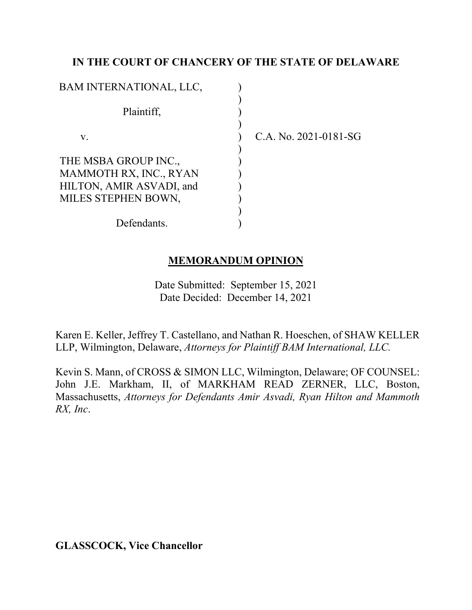# **IN THE COURT OF CHANCERY OF THE STATE OF DELAWARE**

| BAM INTERNATIONAL, LLC,  |  |
|--------------------------|--|
|                          |  |
| Plaintiff,               |  |
|                          |  |
| V.                       |  |
|                          |  |
| THE MSBA GROUP INC.,     |  |
| MAMMOTH RX, INC., RYAN   |  |
| HILTON, AMIR ASVADI, and |  |
| MILES STEPHEN BOWN,      |  |
|                          |  |
| Defendants.              |  |

C.A. No. 2021-0181-SG

# **MEMORANDUM OPINION**

Date Submitted: September 15, 2021 Date Decided: December 14, 2021

Karen E. Keller, Jeffrey T. Castellano, and Nathan R. Hoeschen, of SHAW KELLER LLP, Wilmington, Delaware, *Attorneys for Plaintiff BAM International, LLC.*

Kevin S. Mann, of CROSS & SIMON LLC, Wilmington, Delaware; OF COUNSEL: John J.E. Markham, II, of MARKHAM READ ZERNER, LLC, Boston, Massachusetts, *Attorneys for Defendants Amir Asvadi, Ryan Hilton and Mammoth RX, Inc*.

**GLASSCOCK, Vice Chancellor**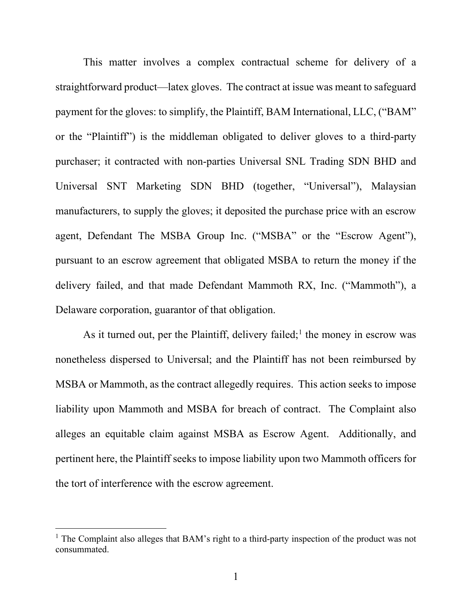This matter involves a complex contractual scheme for delivery of a straightforward product—latex gloves. The contract at issue was meant to safeguard payment for the gloves: to simplify, the Plaintiff, BAM International, LLC, ("BAM" or the "Plaintiff") is the middleman obligated to deliver gloves to a third-party purchaser; it contracted with non-parties Universal SNL Trading SDN BHD and Universal SNT Marketing SDN BHD (together, "Universal"), Malaysian manufacturers, to supply the gloves; it deposited the purchase price with an escrow agent, Defendant The MSBA Group Inc. ("MSBA" or the "Escrow Agent"), pursuant to an escrow agreement that obligated MSBA to return the money if the delivery failed, and that made Defendant Mammoth RX, Inc. ("Mammoth"), a Delaware corporation, guarantor of that obligation.

As it turned out, per the Plaintiff, delivery failed;<sup>1</sup> the money in escrow was nonetheless dispersed to Universal; and the Plaintiff has not been reimbursed by MSBA or Mammoth, as the contract allegedly requires. This action seeks to impose liability upon Mammoth and MSBA for breach of contract. The Complaint also alleges an equitable claim against MSBA as Escrow Agent. Additionally, and pertinent here, the Plaintiff seeks to impose liability upon two Mammoth officers for the tort of interference with the escrow agreement.

 $<sup>1</sup>$  The Complaint also alleges that BAM's right to a third-party inspection of the product was not</sup> consummated.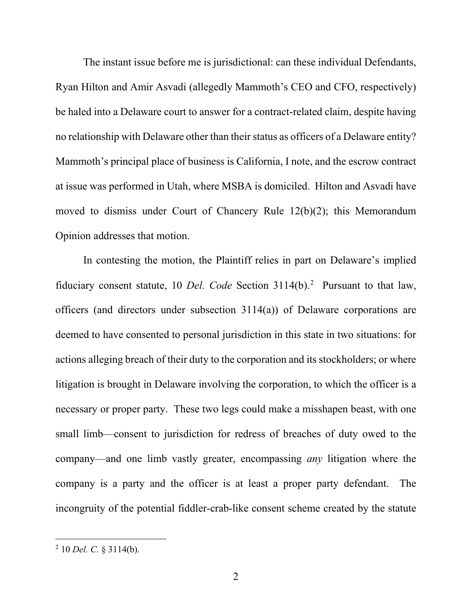The instant issue before me is jurisdictional: can these individual Defendants, Ryan Hilton and Amir Asvadi (allegedly Mammoth's CEO and CFO, respectively) be haled into a Delaware court to answer for a contract-related claim, despite having no relationship with Delaware other than their status as officers of a Delaware entity? Mammoth's principal place of business is California, I note, and the escrow contract at issue was performed in Utah, where MSBA is domiciled. Hilton and Asvadi have moved to dismiss under Court of Chancery Rule 12(b)(2); this Memorandum Opinion addresses that motion.

In contesting the motion, the Plaintiff relies in part on Delaware's implied fiduciary consent statute, 10 *Del. Code* Section 3114(b).<sup>2</sup> Pursuant to that law, officers (and directors under subsection 3114(a)) of Delaware corporations are deemed to have consented to personal jurisdiction in this state in two situations: for actions alleging breach of their duty to the corporation and its stockholders; or where litigation is brought in Delaware involving the corporation, to which the officer is a necessary or proper party. These two legs could make a misshapen beast, with one small limb—consent to jurisdiction for redress of breaches of duty owed to the company—and one limb vastly greater, encompassing *any* litigation where the company is a party and the officer is at least a proper party defendant. The incongruity of the potential fiddler-crab-like consent scheme created by the statute

<sup>2</sup> 10 *Del. C.* § 3114(b).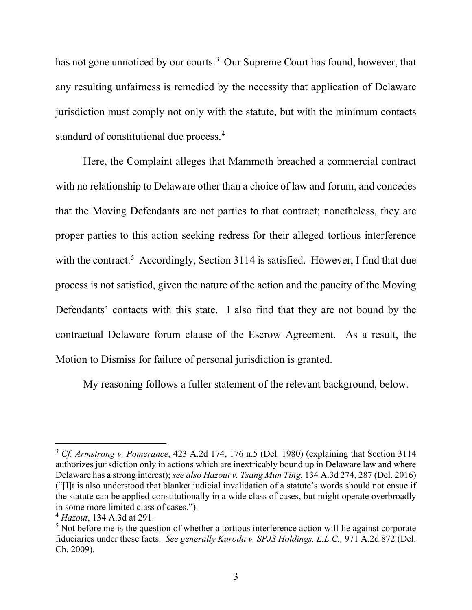has not gone unnoticed by our courts.<sup>3</sup> Our Supreme Court has found, however, that any resulting unfairness is remedied by the necessity that application of Delaware jurisdiction must comply not only with the statute, but with the minimum contacts standard of constitutional due process.<sup>4</sup>

Here, the Complaint alleges that Mammoth breached a commercial contract with no relationship to Delaware other than a choice of law and forum, and concedes that the Moving Defendants are not parties to that contract; nonetheless, they are proper parties to this action seeking redress for their alleged tortious interference with the contract.<sup>5</sup> Accordingly, Section 3114 is satisfied. However, I find that due process is not satisfied, given the nature of the action and the paucity of the Moving Defendants' contacts with this state. I also find that they are not bound by the contractual Delaware forum clause of the Escrow Agreement. As a result, the Motion to Dismiss for failure of personal jurisdiction is granted.

My reasoning follows a fuller statement of the relevant background, below.

<sup>3</sup> *Cf. Armstrong v. Pomerance*, 423 A.2d 174, 176 n.5 (Del. 1980) (explaining that Section 3114 authorizes jurisdiction only in actions which are inextricably bound up in Delaware law and where Delaware has a strong interest); *see also Hazout v. Tsang Mun Ting*, 134 A.3d 274, 287 (Del. 2016) ("[I]t is also understood that blanket judicial invalidation of a statute's words should not ensue if the statute can be applied constitutionally in a wide class of cases, but might operate overbroadly in some more limited class of cases.").

<sup>4</sup> *Hazout*, 134 A.3d at 291.

<sup>&</sup>lt;sup>5</sup> Not before me is the question of whether a tortious interference action will lie against corporate fiduciaries under these facts. *See generally Kuroda v. SPJS Holdings, L.L.C.,* 971 A.2d 872 (Del. Ch. 2009).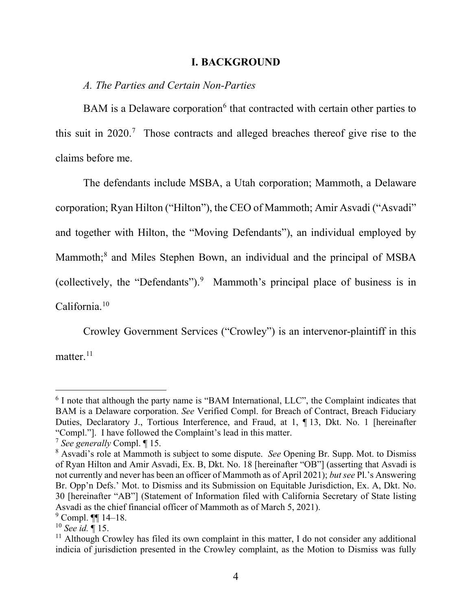#### **I. BACKGROUND**

#### *A. The Parties and Certain Non-Parties*

BAM is a Delaware corporation<sup>6</sup> that contracted with certain other parties to this suit in 2020.7 Those contracts and alleged breaches thereof give rise to the claims before me.

The defendants include MSBA, a Utah corporation; Mammoth, a Delaware corporation; Ryan Hilton ("Hilton"), the CEO of Mammoth; Amir Asvadi ("Asvadi" and together with Hilton, the "Moving Defendants"), an individual employed by Mammoth;<sup>8</sup> and Miles Stephen Bown, an individual and the principal of MSBA (collectively, the "Defendants").9 Mammoth's principal place of business is in California.10

Crowley Government Services ("Crowley") is an intervenor-plaintiff in this matter. $^{11}$ 

<sup>&</sup>lt;sup>6</sup> I note that although the party name is "BAM International, LLC", the Complaint indicates that BAM is a Delaware corporation. *See* Verified Compl. for Breach of Contract, Breach Fiduciary Duties, Declaratory J., Tortious Interference, and Fraud, at 1, ¶ 13, Dkt. No. 1 [hereinafter "Compl."]. I have followed the Complaint's lead in this matter.

<sup>7</sup> *See generally* Compl. ¶ 15.

<sup>8</sup> Asvadi's role at Mammoth is subject to some dispute. *See* Opening Br. Supp. Mot. to Dismiss of Ryan Hilton and Amir Asvadi, Ex. B, Dkt. No. 18 [hereinafter "OB"] (asserting that Asvadi is not currently and never has been an officer of Mammoth as of April 2021); *but see* Pl.'s Answering Br. Opp'n Defs.' Mot. to Dismiss and its Submission on Equitable Jurisdiction, Ex. A, Dkt. No. 30 [hereinafter "AB"] (Statement of Information filed with California Secretary of State listing Asvadi as the chief financial officer of Mammoth as of March 5, 2021).

 $9$  Compl.  $\P\P$  14–18.

<sup>10</sup> *See id.* ¶ 15.

 $11$  Although Crowley has filed its own complaint in this matter. I do not consider any additional indicia of jurisdiction presented in the Crowley complaint, as the Motion to Dismiss was fully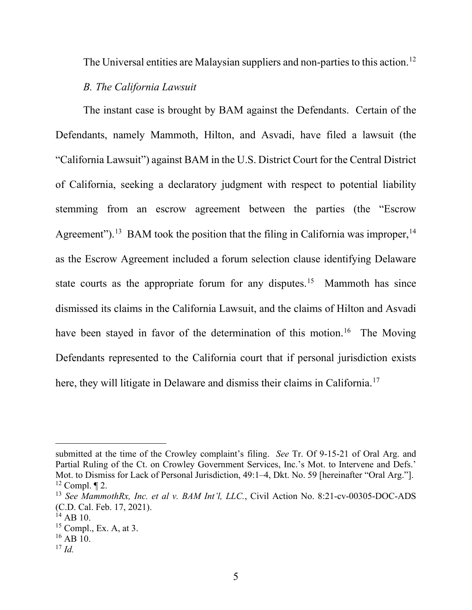The Universal entities are Malaysian suppliers and non-parties to this action.<sup>12</sup>

### *B. The California Lawsuit*

The instant case is brought by BAM against the Defendants. Certain of the Defendants, namely Mammoth, Hilton, and Asvadi, have filed a lawsuit (the "California Lawsuit") against BAM in the U.S. District Court for the Central District of California, seeking a declaratory judgment with respect to potential liability stemming from an escrow agreement between the parties (the "Escrow Agreement").<sup>13</sup> BAM took the position that the filing in California was improper,<sup>14</sup> as the Escrow Agreement included a forum selection clause identifying Delaware state courts as the appropriate forum for any disputes.<sup>15</sup> Mammoth has since dismissed its claims in the California Lawsuit, and the claims of Hilton and Asvadi have been stayed in favor of the determination of this motion.<sup>16</sup> The Moving Defendants represented to the California court that if personal jurisdiction exists here, they will litigate in Delaware and dismiss their claims in California.<sup>17</sup>

submitted at the time of the Crowley complaint's filing. *See* Tr. Of 9-15-21 of Oral Arg. and Partial Ruling of the Ct. on Crowley Government Services, Inc.'s Mot. to Intervene and Defs.' Mot. to Dismiss for Lack of Personal Jurisdiction, 49:1–4, Dkt. No. 59 [hereinafter "Oral Arg."].  $12$  Compl.  $\P$  2.

<sup>13</sup> *See MammothRx, Inc. et al v. BAM Int'l, LLC.*, Civil Action No. 8:21-cv-00305-DOC-ADS (C.D. Cal. Feb. 17, 2021). 14 AB 10.

 $15$  Compl., Ex. A, at 3.

 $16$  AB 10.

 $^{17}$  *Id.*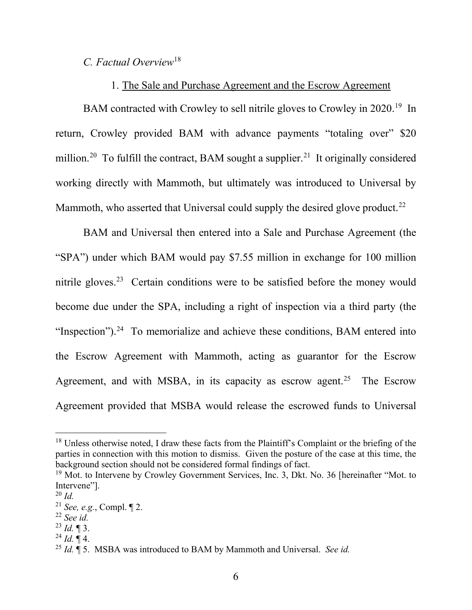# *C. Factual Overview*<sup>18</sup>

# 1. The Sale and Purchase Agreement and the Escrow Agreement

BAM contracted with Crowley to sell nitrile gloves to Crowley in 2020.<sup>19</sup> In return, Crowley provided BAM with advance payments "totaling over" \$20 million.<sup>20</sup> To fulfill the contract, BAM sought a supplier.<sup>21</sup> It originally considered working directly with Mammoth, but ultimately was introduced to Universal by Mammoth, who asserted that Universal could supply the desired glove product.<sup>22</sup>

BAM and Universal then entered into a Sale and Purchase Agreement (the "SPA") under which BAM would pay \$7.55 million in exchange for 100 million nitrile gloves.<sup>23</sup> Certain conditions were to be satisfied before the money would become due under the SPA, including a right of inspection via a third party (the "Inspection").<sup>24</sup> To memorialize and achieve these conditions, BAM entered into the Escrow Agreement with Mammoth, acting as guarantor for the Escrow Agreement, and with MSBA, in its capacity as escrow agent.<sup>25</sup> The Escrow Agreement provided that MSBA would release the escrowed funds to Universal

<sup>&</sup>lt;sup>18</sup> Unless otherwise noted, I draw these facts from the Plaintiff's Complaint or the briefing of the parties in connection with this motion to dismiss. Given the posture of the case at this time, the background section should not be considered formal findings of fact.<br><sup>19</sup> Mot. to Intervene by Crowley Government Services, Inc. 3, Dkt. No. 36 [hereinafter "Mot. to

Intervene"].

<sup>20</sup> *Id.*

<sup>21</sup> *See, e.g.*, Compl. ¶ 2.

<sup>22</sup> *See id.* 

 $^{23}$  *Id.*  $\blacksquare$  3.

 $^{24}$  *Id.*  $\P$  4.

<sup>25</sup> *Id.* ¶ 5. MSBA was introduced to BAM by Mammoth and Universal. *See id.*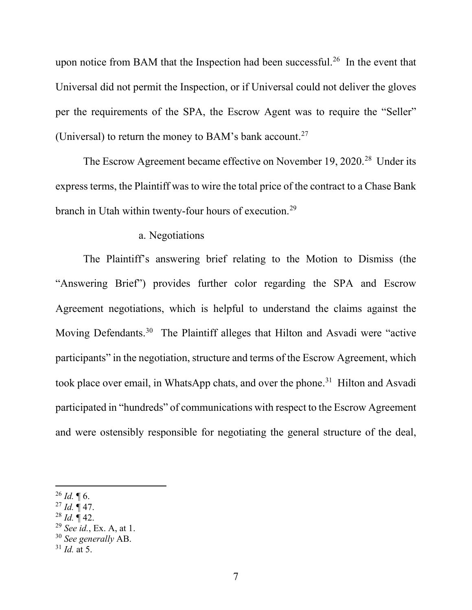upon notice from BAM that the Inspection had been successful.<sup>26</sup> In the event that Universal did not permit the Inspection, or if Universal could not deliver the gloves per the requirements of the SPA, the Escrow Agent was to require the "Seller" (Universal) to return the money to BAM's bank account.<sup>27</sup>

The Escrow Agreement became effective on November 19, 2020.<sup>28</sup> Under its express terms, the Plaintiff was to wire the total price of the contract to a Chase Bank branch in Utah within twenty-four hours of execution.29

#### a. Negotiations

The Plaintiff's answering brief relating to the Motion to Dismiss (the "Answering Brief") provides further color regarding the SPA and Escrow Agreement negotiations, which is helpful to understand the claims against the Moving Defendants.30 The Plaintiff alleges that Hilton and Asvadi were "active participants" in the negotiation, structure and terms of the Escrow Agreement, which took place over email, in WhatsApp chats, and over the phone.<sup>31</sup> Hilton and Asvadi participated in "hundreds" of communications with respect to the Escrow Agreement and were ostensibly responsible for negotiating the general structure of the deal,

 $^{28}$  *Id.*  $\mathring{\mathbb{I}}$  42.

 $^{26}$  *Id.* ¶ 6.

<sup>27</sup> *Id.* ¶ 47.

<sup>29</sup> *See id.*, Ex. A, at 1.

<sup>30</sup> *See generally* AB.

 $31$  *Id.* at 5.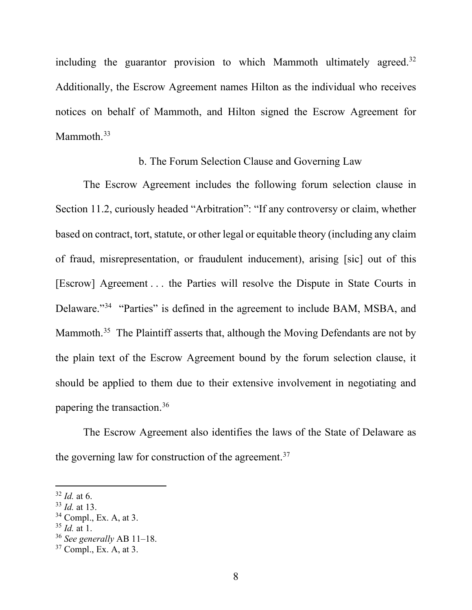including the guarantor provision to which Mammoth ultimately agreed.<sup>32</sup> Additionally, the Escrow Agreement names Hilton as the individual who receives notices on behalf of Mammoth, and Hilton signed the Escrow Agreement for Mammoth.<sup>33</sup>

### b. The Forum Selection Clause and Governing Law

The Escrow Agreement includes the following forum selection clause in Section 11.2, curiously headed "Arbitration": "If any controversy or claim, whether based on contract, tort, statute, or other legal or equitable theory (including any claim of fraud, misrepresentation, or fraudulent inducement), arising [sic] out of this [Escrow] Agreement . . . the Parties will resolve the Dispute in State Courts in Delaware."<sup>34</sup> "Parties" is defined in the agreement to include BAM, MSBA, and Mammoth.<sup>35</sup> The Plaintiff asserts that, although the Moving Defendants are not by the plain text of the Escrow Agreement bound by the forum selection clause, it should be applied to them due to their extensive involvement in negotiating and papering the transaction.36

The Escrow Agreement also identifies the laws of the State of Delaware as the governing law for construction of the agreement.<sup>37</sup>

 $32$  *Id.* at 6.

<sup>33</sup> *Id.* at 13.

 $34$  Compl., Ex. A, at 3.

<sup>35</sup> *Id.* at 1.

<sup>36</sup> *See generally* AB 11–18.

<sup>37</sup> Compl., Ex. A, at 3.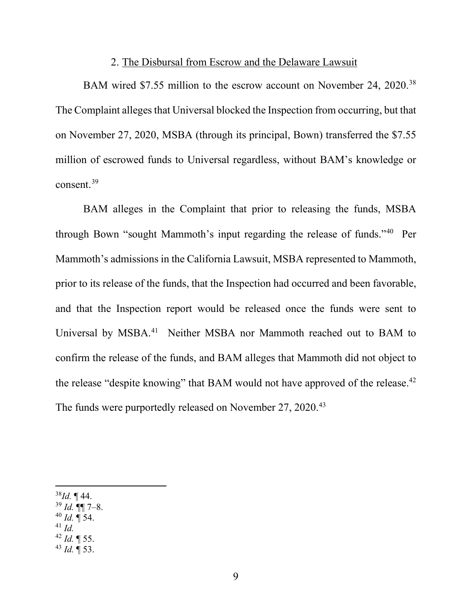#### 2. The Disbursal from Escrow and the Delaware Lawsuit

BAM wired \$7.55 million to the escrow account on November 24, 2020.<sup>38</sup> The Complaint alleges that Universal blocked the Inspection from occurring, but that on November 27, 2020, MSBA (through its principal, Bown) transferred the \$7.55 million of escrowed funds to Universal regardless, without BAM's knowledge or consent.39

BAM alleges in the Complaint that prior to releasing the funds, MSBA through Bown "sought Mammoth's input regarding the release of funds."40 Per Mammoth's admissions in the California Lawsuit, MSBA represented to Mammoth, prior to its release of the funds, that the Inspection had occurred and been favorable, and that the Inspection report would be released once the funds were sent to Universal by MSBA.<sup>41</sup> Neither MSBA nor Mammoth reached out to BAM to confirm the release of the funds, and BAM alleges that Mammoth did not object to the release "despite knowing" that BAM would not have approved of the release. $42$ The funds were purportedly released on November 27, 2020.<sup>43</sup>

- <sup>40</sup> *Id.* ¶ 54.
- <sup>41</sup> *Id.*
- <sup>42</sup> *Id.* ¶ 55.
- <sup>43</sup> *Id.* ¶ 53.

<sup>38</sup>*Id.* ¶ 44.

<sup>39</sup> *Id.* ¶¶ 7–8.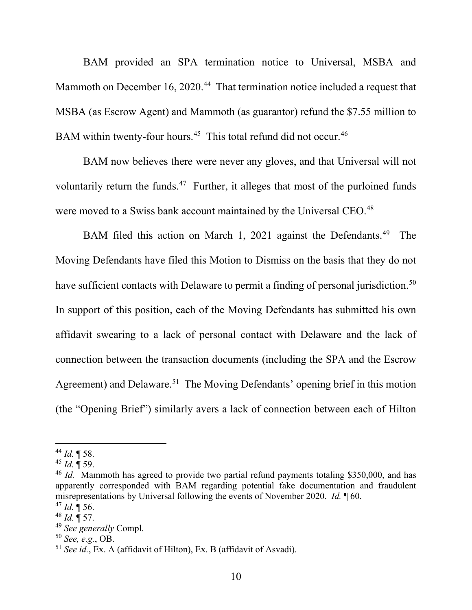BAM provided an SPA termination notice to Universal, MSBA and Mammoth on December 16, 2020.<sup>44</sup> That termination notice included a request that MSBA (as Escrow Agent) and Mammoth (as guarantor) refund the \$7.55 million to BAM within twenty-four hours.<sup>45</sup> This total refund did not occur.<sup>46</sup>

BAM now believes there were never any gloves, and that Universal will not voluntarily return the funds.<sup>47</sup> Further, it alleges that most of the purloined funds were moved to a Swiss bank account maintained by the Universal CEO.<sup>48</sup>

BAM filed this action on March 1, 2021 against the Defendants.<sup>49</sup> The Moving Defendants have filed this Motion to Dismiss on the basis that they do not have sufficient contacts with Delaware to permit a finding of personal jurisdiction.<sup>50</sup> In support of this position, each of the Moving Defendants has submitted his own affidavit swearing to a lack of personal contact with Delaware and the lack of connection between the transaction documents (including the SPA and the Escrow Agreement) and Delaware.<sup>51</sup> The Moving Defendants' opening brief in this motion (the "Opening Brief") similarly avers a lack of connection between each of Hilton

<sup>44</sup> *Id.* ¶ 58.

<sup>45</sup> *Id.* ¶ 59.

<sup>&</sup>lt;sup>46</sup> *Id.* Mammoth has agreed to provide two partial refund payments totaling \$350,000, and has apparently corresponded with BAM regarding potential fake documentation and fraudulent misrepresentations by Universal following the events of November 2020. *Id.* ¶ 60.

<sup>47</sup> *Id.* ¶ 56.

 $^{48}$  *Id.*  $\overset{\circ}{\P}$  57.

<sup>49</sup> *See generally* Compl.

 $^{51}$  *See id.*, Ex. A (affidavit of Hilton), Ex. B (affidavit of Asvadi).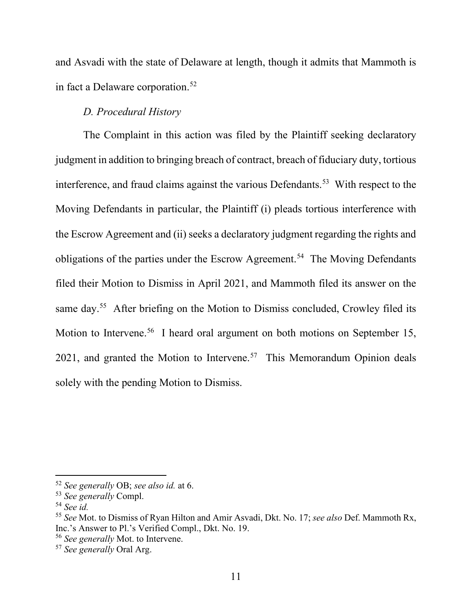and Asvadi with the state of Delaware at length, though it admits that Mammoth is in fact a Delaware corporation.<sup>52</sup>

# *D. Procedural History*

The Complaint in this action was filed by the Plaintiff seeking declaratory judgment in addition to bringing breach of contract, breach of fiduciary duty, tortious interference, and fraud claims against the various Defendants.53 With respect to the Moving Defendants in particular, the Plaintiff (i) pleads tortious interference with the Escrow Agreement and (ii) seeks a declaratory judgment regarding the rights and obligations of the parties under the Escrow Agreement.<sup>54</sup> The Moving Defendants filed their Motion to Dismiss in April 2021, and Mammoth filed its answer on the same day.<sup>55</sup> After briefing on the Motion to Dismiss concluded, Crowley filed its Motion to Intervene.<sup>56</sup> I heard oral argument on both motions on September 15, 2021, and granted the Motion to Intervene.<sup>57</sup> This Memorandum Opinion deals solely with the pending Motion to Dismiss.

<sup>52</sup> *See generally* OB; *see also id.* at 6.

<sup>53</sup> *See generally* Compl.

<sup>54</sup> *See id.* 

<sup>55</sup> *See* Mot. to Dismiss of Ryan Hilton and Amir Asvadi, Dkt. No. 17; *see also* Def. Mammoth Rx, Inc.'s Answer to Pl.'s Verified Compl., Dkt. No. 19.

<sup>56</sup> *See generally* Mot. to Intervene.

<sup>57</sup> *See generally* Oral Arg.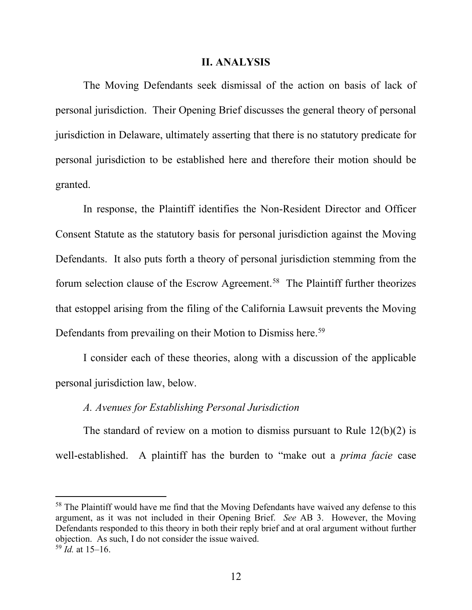#### **II. ANALYSIS**

The Moving Defendants seek dismissal of the action on basis of lack of personal jurisdiction. Their Opening Brief discusses the general theory of personal jurisdiction in Delaware, ultimately asserting that there is no statutory predicate for personal jurisdiction to be established here and therefore their motion should be granted.

In response, the Plaintiff identifies the Non-Resident Director and Officer Consent Statute as the statutory basis for personal jurisdiction against the Moving Defendants. It also puts forth a theory of personal jurisdiction stemming from the forum selection clause of the Escrow Agreement.<sup>58</sup> The Plaintiff further theorizes that estoppel arising from the filing of the California Lawsuit prevents the Moving Defendants from prevailing on their Motion to Dismiss here.<sup>59</sup>

I consider each of these theories, along with a discussion of the applicable personal jurisdiction law, below.

### *A. Avenues for Establishing Personal Jurisdiction*

The standard of review on a motion to dismiss pursuant to Rule  $12(b)(2)$  is well-established. A plaintiff has the burden to "make out a *prima facie* case

<sup>&</sup>lt;sup>58</sup> The Plaintiff would have me find that the Moving Defendants have waived any defense to this argument, as it was not included in their Opening Brief. *See* AB 3. However, the Moving Defendants responded to this theory in both their reply brief and at oral argument without further objection. As such, I do not consider the issue waived.

<sup>59</sup> *Id.* at 15–16.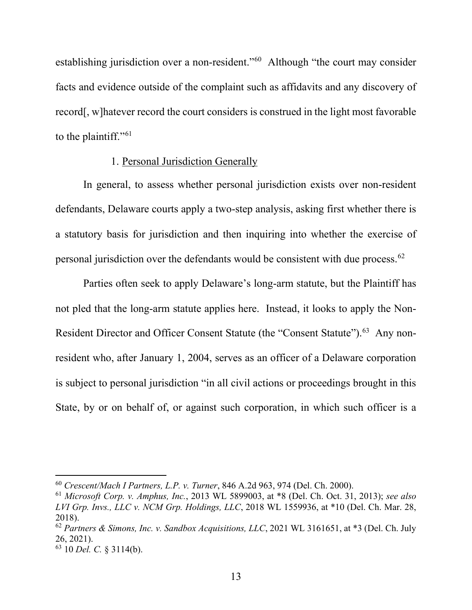establishing jurisdiction over a non-resident."60 Although "the court may consider facts and evidence outside of the complaint such as affidavits and any discovery of record[, w]hatever record the court considers is construed in the light most favorable to the plaintiff."<sup>61</sup>

### 1. Personal Jurisdiction Generally

In general, to assess whether personal jurisdiction exists over non-resident defendants, Delaware courts apply a two-step analysis, asking first whether there is a statutory basis for jurisdiction and then inquiring into whether the exercise of personal jurisdiction over the defendants would be consistent with due process.62

Parties often seek to apply Delaware's long-arm statute, but the Plaintiff has not pled that the long-arm statute applies here. Instead, it looks to apply the Non-Resident Director and Officer Consent Statute (the "Consent Statute").<sup>63</sup> Any nonresident who, after January 1, 2004, serves as an officer of a Delaware corporation is subject to personal jurisdiction "in all civil actions or proceedings brought in this State, by or on behalf of, or against such corporation, in which such officer is a

<sup>60</sup> *Crescent/Mach I Partners, L.P. v. Turner*, 846 A.2d 963, 974 (Del. Ch. 2000).

<sup>61</sup> *Microsoft Corp. v. Amphus, Inc.*, 2013 WL 5899003, at \*8 (Del. Ch. Oct. 31, 2013); *see also LVI Grp. Invs., LLC v. NCM Grp. Holdings, LLC*, 2018 WL 1559936, at \*10 (Del. Ch. Mar. 28, 2018).

<sup>62</sup> *Partners & Simons, Inc. v. Sandbox Acquisitions, LLC*, 2021 WL 3161651, at \*3 (Del. Ch. July 26, 2021).

<sup>63</sup> 10 *Del. C.* § 3114(b).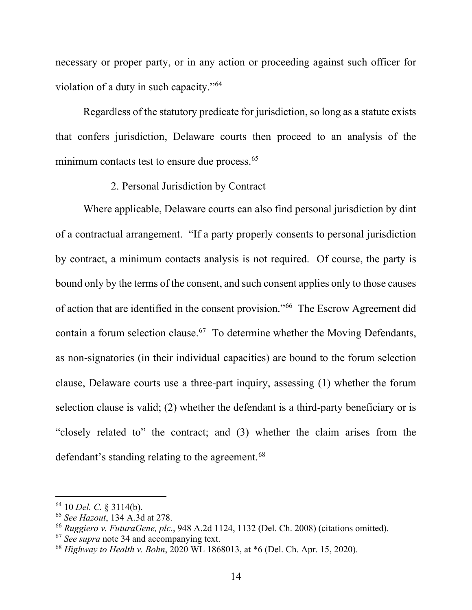necessary or proper party, or in any action or proceeding against such officer for violation of a duty in such capacity."64

Regardless of the statutory predicate for jurisdiction, so long as a statute exists that confers jurisdiction, Delaware courts then proceed to an analysis of the minimum contacts test to ensure due process.<sup>65</sup>

# 2. Personal Jurisdiction by Contract

Where applicable, Delaware courts can also find personal jurisdiction by dint of a contractual arrangement. "If a party properly consents to personal jurisdiction by contract, a minimum contacts analysis is not required. Of course, the party is bound only by the terms of the consent, and such consent applies only to those causes of action that are identified in the consent provision."66 The Escrow Agreement did contain a forum selection clause.67 To determine whether the Moving Defendants, as non-signatories (in their individual capacities) are bound to the forum selection clause, Delaware courts use a three-part inquiry, assessing (1) whether the forum selection clause is valid; (2) whether the defendant is a third-party beneficiary or is "closely related to" the contract; and (3) whether the claim arises from the defendant's standing relating to the agreement.<sup>68</sup>

<sup>64</sup> 10 *Del. C.* § 3114(b).

<sup>65</sup> *See Hazout*, 134 A.3d at 278.

<sup>66</sup> *Ruggiero v. FuturaGene, plc.*, 948 A.2d 1124, 1132 (Del. Ch. 2008) (citations omitted).

<sup>67</sup> *See supra* note 34 and accompanying text.

<sup>68</sup> *Highway to Health v. Bohn*, 2020 WL 1868013, at \*6 (Del. Ch. Apr. 15, 2020).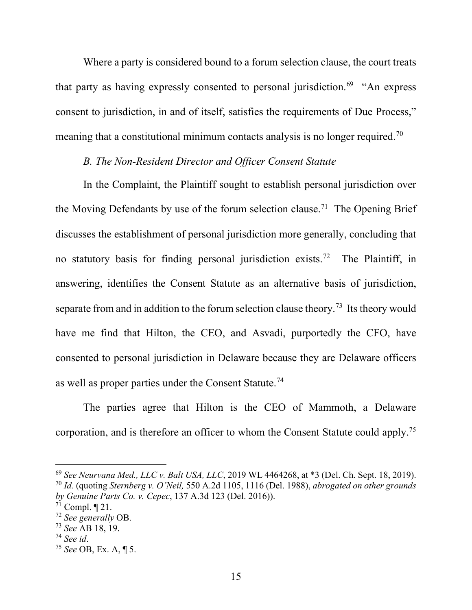Where a party is considered bound to a forum selection clause, the court treats that party as having expressly consented to personal jurisdiction.<sup>69</sup> "An express consent to jurisdiction, in and of itself, satisfies the requirements of Due Process," meaning that a constitutional minimum contacts analysis is no longer required.<sup>70</sup>

### *B. The Non-Resident Director and Officer Consent Statute*

In the Complaint, the Plaintiff sought to establish personal jurisdiction over the Moving Defendants by use of the forum selection clause.<sup>71</sup> The Opening Brief discusses the establishment of personal jurisdiction more generally, concluding that no statutory basis for finding personal jurisdiction exists.<sup>72</sup> The Plaintiff, in answering, identifies the Consent Statute as an alternative basis of jurisdiction, separate from and in addition to the forum selection clause theory.<sup>73</sup> Its theory would have me find that Hilton, the CEO, and Asvadi, purportedly the CFO, have consented to personal jurisdiction in Delaware because they are Delaware officers as well as proper parties under the Consent Statute.<sup>74</sup>

The parties agree that Hilton is the CEO of Mammoth, a Delaware corporation, and is therefore an officer to whom the Consent Statute could apply.<sup>75</sup>

<sup>69</sup> *See Neurvana Med., LLC v. Balt USA, LLC*, 2019 WL 4464268, at \*3 (Del. Ch. Sept. 18, 2019). <sup>70</sup> *Id.* (quoting *Sternberg v. O'Neil,* 550 A.2d 1105, 1116 (Del. 1988), *abrogated on other grounds by Genuine Parts Co. v. Cepec*, 137 A.3d 123 (Del. 2016)).

 $7^{\rm i}$  Compl.  $\P$  21.

<sup>72</sup> *See generally* OB.

<sup>73</sup> *See* AB 18, 19.

<sup>74</sup> *See id*. 75 *See* OB, Ex. A, ¶ 5.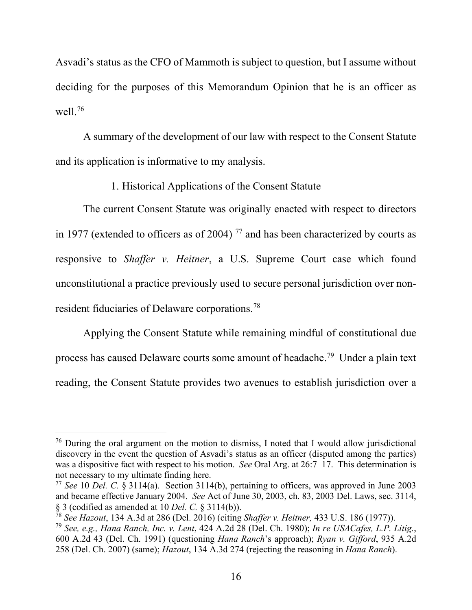Asvadi's status as the CFO of Mammoth is subject to question, but I assume without deciding for the purposes of this Memorandum Opinion that he is an officer as well. 76

A summary of the development of our law with respect to the Consent Statute and its application is informative to my analysis.

# 1. Historical Applications of the Consent Statute

The current Consent Statute was originally enacted with respect to directors in 1977 (extended to officers as of 2004)<sup>77</sup> and has been characterized by courts as responsive to *Shaffer v. Heitner*, a U.S. Supreme Court case which found unconstitutional a practice previously used to secure personal jurisdiction over nonresident fiduciaries of Delaware corporations.78

Applying the Consent Statute while remaining mindful of constitutional due process has caused Delaware courts some amount of headache.79 Under a plain text reading, the Consent Statute provides two avenues to establish jurisdiction over a

 $76$  During the oral argument on the motion to dismiss, I noted that I would allow jurisdictional discovery in the event the question of Asvadi's status as an officer (disputed among the parties) was a dispositive fact with respect to his motion. *See* Oral Arg. at 26:7–17. This determination is not necessary to my ultimate finding here.

<sup>77</sup> *See* 10 *Del. C.* § 3114(a). Section 3114(b), pertaining to officers, was approved in June 2003 and became effective January 2004. *See* Act of June 30, 2003, ch. 83, 2003 Del. Laws, sec. 3114, § 3 (codified as amended at 10 *Del. C.* § 3114(b)).

<sup>78</sup> *See Hazout*, 134 A.3d at 286 (Del. 2016) (citing *Shaffer v. Heitner,* 433 U.S. 186 (1977)).

<sup>79</sup> *See, e.g., Hana Ranch, Inc. v. Lent*, 424 A.2d 28 (Del. Ch. 1980); *In re USACafes, L.P. Litig.*, 600 A.2d 43 (Del. Ch. 1991) (questioning *Hana Ranch*'s approach); *Ryan v. Gifford*, 935 A.2d 258 (Del. Ch. 2007) (same); *Hazout*, 134 A.3d 274 (rejecting the reasoning in *Hana Ranch*).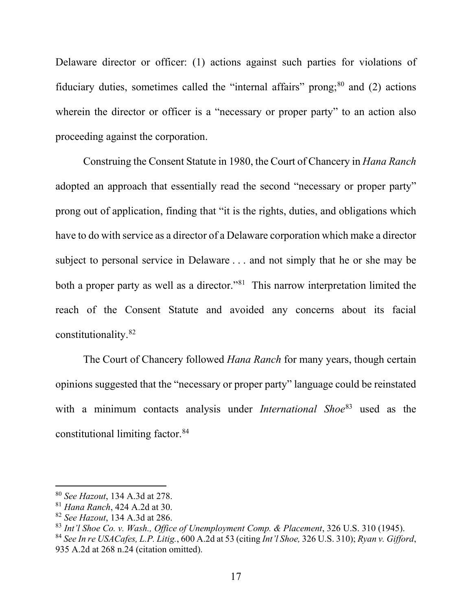Delaware director or officer: (1) actions against such parties for violations of fiduciary duties, sometimes called the "internal affairs" prong;  $80$  and (2) actions wherein the director or officer is a "necessary or proper party" to an action also proceeding against the corporation.

Construing the Consent Statute in 1980, the Court of Chancery in *Hana Ranch*  adopted an approach that essentially read the second "necessary or proper party" prong out of application, finding that "it is the rights, duties, and obligations which have to do with service as a director of a Delaware corporation which make a director subject to personal service in Delaware . . . and not simply that he or she may be both a proper party as well as a director."<sup>81</sup> This narrow interpretation limited the reach of the Consent Statute and avoided any concerns about its facial constitutionality.82

The Court of Chancery followed *Hana Ranch* for many years, though certain opinions suggested that the "necessary or proper party" language could be reinstated with a minimum contacts analysis under *International Shoe*<sup>83</sup> used as the constitutional limiting factor.84

<sup>80</sup> *See Hazout*, 134 A.3d at 278.

<sup>81</sup> *Hana Ranch*, 424 A.2d at 30.

<sup>82</sup> *See Hazout*, 134 A.3d at 286.

<sup>83</sup> *Int'l Shoe Co. v. Wash., Office of Unemployment Comp. & Placement*, 326 U.S. 310 (1945).

<sup>84</sup> *See In re USACafes, L.P. Litig.*, 600 A.2d at 53 (citing *Int'l Shoe,* 326 U.S. 310); *Ryan v. Gifford*, 935 A.2d at 268 n.24 (citation omitted).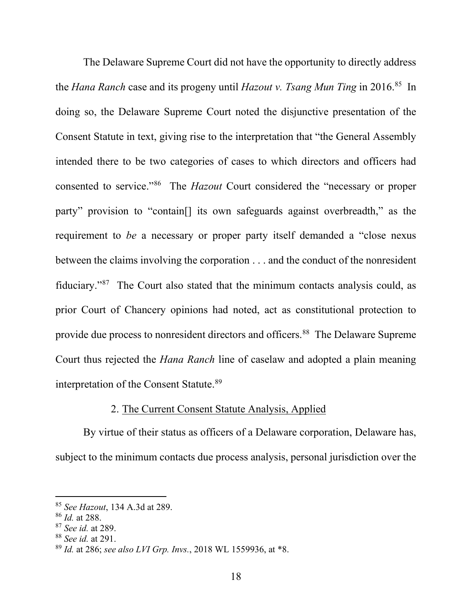The Delaware Supreme Court did not have the opportunity to directly address the *Hana Ranch* case and its progeny until *Hazout v. Tsang Mun Ting* in 2016.85 In doing so, the Delaware Supreme Court noted the disjunctive presentation of the Consent Statute in text, giving rise to the interpretation that "the General Assembly intended there to be two categories of cases to which directors and officers had consented to service."86 The *Hazout* Court considered the "necessary or proper party" provision to "contain[] its own safeguards against overbreadth," as the requirement to *be* a necessary or proper party itself demanded a "close nexus between the claims involving the corporation . . . and the conduct of the nonresident fiduciary."87 The Court also stated that the minimum contacts analysis could, as prior Court of Chancery opinions had noted, act as constitutional protection to provide due process to nonresident directors and officers.88 The Delaware Supreme Court thus rejected the *Hana Ranch* line of caselaw and adopted a plain meaning interpretation of the Consent Statute.89

### 2. The Current Consent Statute Analysis, Applied

By virtue of their status as officers of a Delaware corporation, Delaware has, subject to the minimum contacts due process analysis, personal jurisdiction over the

<sup>&</sup>lt;sup>85</sup> *See Hazout*, 134 A.3d at 289.<br><sup>86</sup> *Id.* at 288.

<sup>86</sup> *Id.* at 288. 87 *See id.* at 289.

<sup>88</sup> *See id.* at 291.

<sup>89</sup> *Id.* at 286; *see also LVI Grp. Invs.*, 2018 WL 1559936, at \*8.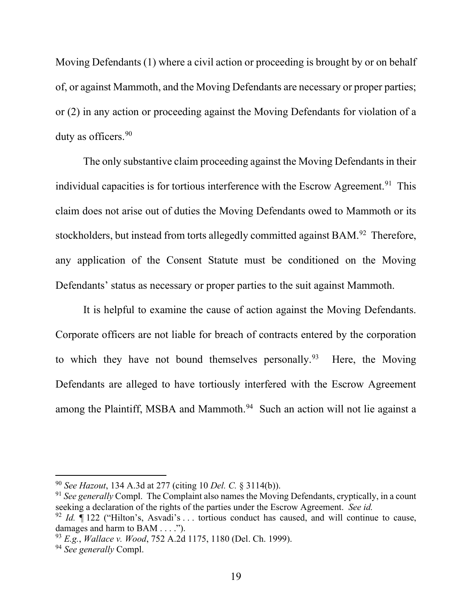Moving Defendants (1) where a civil action or proceeding is brought by or on behalf of, or against Mammoth, and the Moving Defendants are necessary or proper parties; or (2) in any action or proceeding against the Moving Defendants for violation of a duty as officers.<sup>90</sup>

The only substantive claim proceeding against the Moving Defendants in their individual capacities is for tortious interference with the Escrow Agreement.<sup>91</sup> This claim does not arise out of duties the Moving Defendants owed to Mammoth or its stockholders, but instead from torts allegedly committed against BAM.<sup>92</sup> Therefore, any application of the Consent Statute must be conditioned on the Moving Defendants' status as necessary or proper parties to the suit against Mammoth.

It is helpful to examine the cause of action against the Moving Defendants. Corporate officers are not liable for breach of contracts entered by the corporation to which they have not bound themselves personally.<sup>93</sup> Here, the Moving Defendants are alleged to have tortiously interfered with the Escrow Agreement among the Plaintiff, MSBA and Mammoth.<sup>94</sup> Such an action will not lie against a

<sup>90</sup> *See Hazout*, 134 A.3d at 277 (citing 10 *Del. C.* § 3114(b)).

<sup>&</sup>lt;sup>91</sup> See generally Compl. The Complaint also names the Moving Defendants, cryptically, in a count seeking a declaration of the rights of the parties under the Escrow Agreement. *See id.*

<sup>&</sup>lt;sup>92</sup> *Id.*  $\P$  122 ("Hilton's, Asvadi's ... tortious conduct has caused, and will continue to cause, damages and harm to BAM . . . .").

<sup>93</sup> *E.g.*, *Wallace v. Wood*, 752 A.2d 1175, 1180 (Del. Ch. 1999).

<sup>94</sup> *See generally* Compl.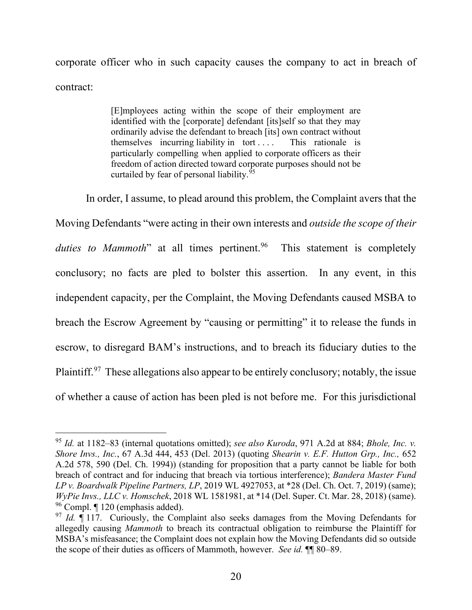corporate officer who in such capacity causes the company to act in breach of contract:

> [E]mployees acting within the scope of their employment are identified with the [corporate] defendant [its]self so that they may ordinarily advise the defendant to breach [its] own contract without themselves incurring liability in tort . . . . This rationale is particularly compelling when applied to corporate officers as their freedom of action directed toward corporate purposes should not be curtailed by fear of personal liability. 95

In order, I assume, to plead around this problem, the Complaint avers that the Moving Defendants "were acting in their own interests and *outside the scope of their duties to Mammoth*" at all times pertinent.<sup>96</sup> This statement is completely conclusory; no facts are pled to bolster this assertion. In any event, in this independent capacity, per the Complaint, the Moving Defendants caused MSBA to breach the Escrow Agreement by "causing or permitting" it to release the funds in escrow, to disregard BAM's instructions, and to breach its fiduciary duties to the Plaintiff.<sup>97</sup> These allegations also appear to be entirely conclusory; notably, the issue of whether a cause of action has been pled is not before me. For this jurisdictional

<sup>95</sup> *Id.* at 1182–83 (internal quotations omitted); *see also Kuroda*, 971 A.2d at 884; *Bhole, Inc. v. Shore Invs., Inc.*, 67 A.3d 444, 453 (Del. 2013) (quoting *Shearin v. E.F. Hutton Grp., Inc.,* 652 A.2d 578, 590 (Del. Ch. 1994)) (standing for proposition that a party cannot be liable for both breach of contract and for inducing that breach via tortious interference); *Bandera Master Fund LP v. Boardwalk Pipeline Partners, LP*, 2019 WL 4927053, at \*28 (Del. Ch. Oct. 7, 2019) (same); *WyPie Invs., LLC v. Homschek*, 2018 WL 1581981, at \*14 (Del. Super. Ct. Mar. 28, 2018) (same). <sup>96</sup> Compl. ¶ 120 (emphasis added).

<sup>&</sup>lt;sup>97</sup> *Id.*  $\P$  117. Curiously, the Complaint also seeks damages from the Moving Defendants for allegedly causing *Mammoth* to breach its contractual obligation to reimburse the Plaintiff for MSBA's misfeasance; the Complaint does not explain how the Moving Defendants did so outside the scope of their duties as officers of Mammoth, however. *See id.* ¶¶ 80–89.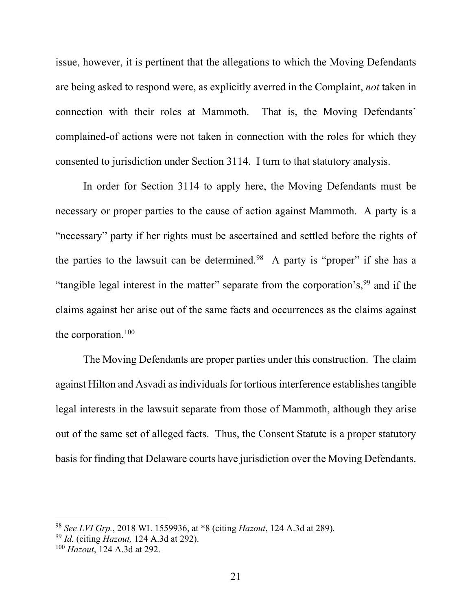issue, however, it is pertinent that the allegations to which the Moving Defendants are being asked to respond were, as explicitly averred in the Complaint, *not* taken in connection with their roles at Mammoth. That is, the Moving Defendants' complained-of actions were not taken in connection with the roles for which they consented to jurisdiction under Section 3114. I turn to that statutory analysis.

In order for Section 3114 to apply here, the Moving Defendants must be necessary or proper parties to the cause of action against Mammoth. A party is a "necessary" party if her rights must be ascertained and settled before the rights of the parties to the lawsuit can be determined.<sup>98</sup> A party is "proper" if she has a "tangible legal interest in the matter" separate from the corporation's,  $99$  and if the claims against her arise out of the same facts and occurrences as the claims against the corporation.<sup>100</sup>

The Moving Defendants are proper parties under this construction. The claim against Hilton and Asvadi as individuals for tortious interference establishes tangible legal interests in the lawsuit separate from those of Mammoth, although they arise out of the same set of alleged facts. Thus, the Consent Statute is a proper statutory basis for finding that Delaware courts have jurisdiction over the Moving Defendants.

<sup>98</sup> *See LVI Grp.*, 2018 WL 1559936, at \*8 (citing *Hazout*, 124 A.3d at 289).

<sup>99</sup> *Id.* (citing *Hazout,* 124 A.3d at 292).

<sup>100</sup> *Hazout*, 124 A.3d at 292.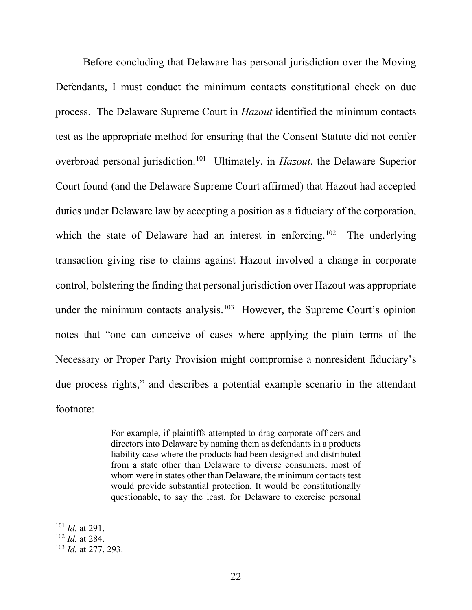Before concluding that Delaware has personal jurisdiction over the Moving Defendants, I must conduct the minimum contacts constitutional check on due process. The Delaware Supreme Court in *Hazout* identified the minimum contacts test as the appropriate method for ensuring that the Consent Statute did not confer overbroad personal jurisdiction.101 Ultimately, in *Hazout*, the Delaware Superior Court found (and the Delaware Supreme Court affirmed) that Hazout had accepted duties under Delaware law by accepting a position as a fiduciary of the corporation, which the state of Delaware had an interest in enforcing.<sup>102</sup> The underlying transaction giving rise to claims against Hazout involved a change in corporate control, bolstering the finding that personal jurisdiction over Hazout was appropriate under the minimum contacts analysis.<sup>103</sup> However, the Supreme Court's opinion notes that "one can conceive of cases where applying the plain terms of the Necessary or Proper Party Provision might compromise a nonresident fiduciary's due process rights," and describes a potential example scenario in the attendant footnote:

> For example, if plaintiffs attempted to drag corporate officers and directors into Delaware by naming them as defendants in a products liability case where the products had been designed and distributed from a state other than Delaware to diverse consumers, most of whom were in states other than Delaware, the minimum contacts test would provide substantial protection. It would be constitutionally questionable, to say the least, for Delaware to exercise personal

<sup>102</sup> *Id.* at 284.

<sup>101</sup> *Id.* at 291.

<sup>103</sup> *Id.* at 277, 293.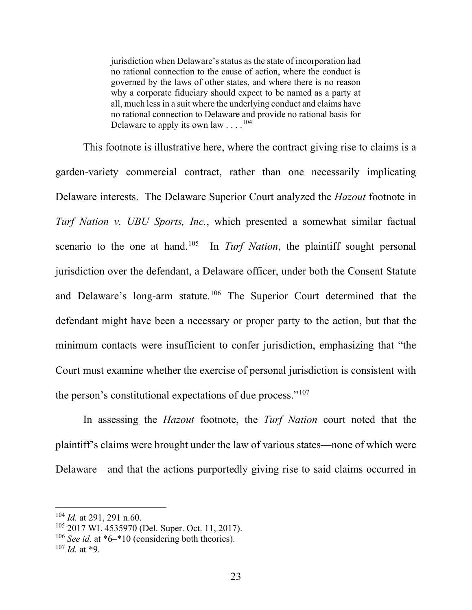jurisdiction when Delaware's status as the state of incorporation had no rational connection to the cause of action, where the conduct is governed by the laws of other states, and where there is no reason why a corporate fiduciary should expect to be named as a party at all, much less in a suit where the underlying conduct and claims have no rational connection to Delaware and provide no rational basis for Delaware to apply its own law  $\dots$ .<sup>104</sup>

This footnote is illustrative here, where the contract giving rise to claims is a garden-variety commercial contract, rather than one necessarily implicating Delaware interests. The Delaware Superior Court analyzed the *Hazout* footnote in *Turf Nation v. UBU Sports, Inc.*, which presented a somewhat similar factual scenario to the one at hand.<sup>105</sup> In *Turf Nation*, the plaintiff sought personal jurisdiction over the defendant, a Delaware officer, under both the Consent Statute and Delaware's long-arm statute.<sup>106</sup> The Superior Court determined that the defendant might have been a necessary or proper party to the action, but that the minimum contacts were insufficient to confer jurisdiction, emphasizing that "the Court must examine whether the exercise of personal jurisdiction is consistent with the person's constitutional expectations of due process."<sup>107</sup>

In assessing the *Hazout* footnote, the *Turf Nation* court noted that the plaintiff's claims were brought under the law of various states—none of which were Delaware—and that the actions purportedly giving rise to said claims occurred in

<sup>104</sup> *Id.* at 291, 291 n.60.

<sup>105</sup> 2017 WL 4535970 (Del. Super. Oct. 11, 2017).

<sup>&</sup>lt;sup>106</sup> *See id.* at \*6–\*10 (considering both theories).

 $107$  *Id.* at \*9.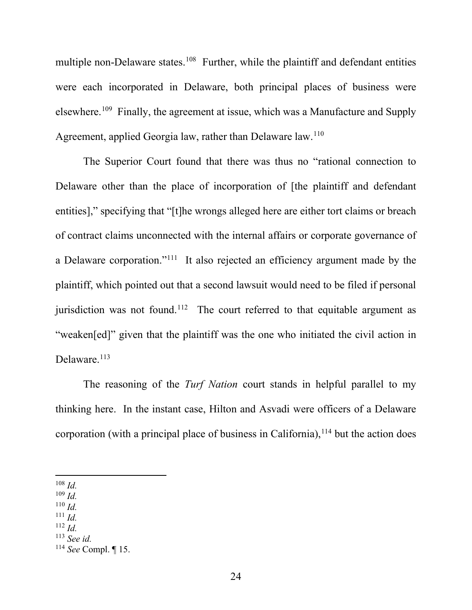multiple non-Delaware states.<sup>108</sup> Further, while the plaintiff and defendant entities were each incorporated in Delaware, both principal places of business were elsewhere.<sup>109</sup> Finally, the agreement at issue, which was a Manufacture and Supply Agreement, applied Georgia law, rather than Delaware law.<sup>110</sup>

The Superior Court found that there was thus no "rational connection to Delaware other than the place of incorporation of [the plaintiff and defendant entities]," specifying that "[t]he wrongs alleged here are either tort claims or breach of contract claims unconnected with the internal affairs or corporate governance of a Delaware corporation."111 It also rejected an efficiency argument made by the plaintiff, which pointed out that a second lawsuit would need to be filed if personal jurisdiction was not found.<sup>112</sup> The court referred to that equitable argument as "weaken[ed]" given that the plaintiff was the one who initiated the civil action in Delaware.<sup>113</sup>

The reasoning of the *Turf Nation* court stands in helpful parallel to my thinking here. In the instant case, Hilton and Asvadi were officers of a Delaware corporation (with a principal place of business in California),  $114$  but the action does

- <sup>109</sup> *Id.*
- $110$  *Id.*
- $^{111}$  *Id.*
- $112$  *Id.*
- <sup>113</sup> *See id.*

<sup>108</sup> *Id.* 

<sup>114</sup> *See* Compl. ¶ 15.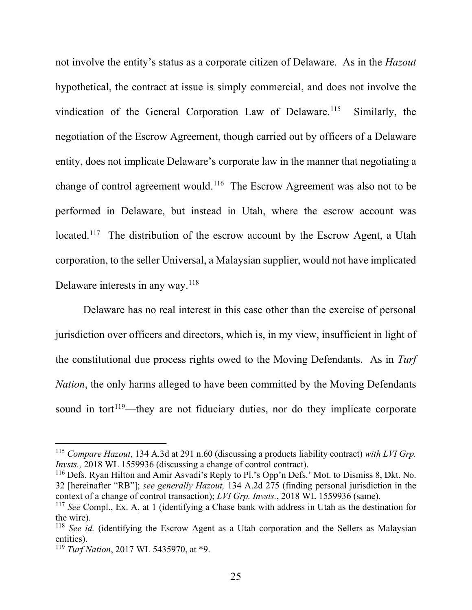not involve the entity's status as a corporate citizen of Delaware. As in the *Hazout*  hypothetical, the contract at issue is simply commercial, and does not involve the vindication of the General Corporation Law of Delaware.<sup>115</sup> Similarly, the negotiation of the Escrow Agreement, though carried out by officers of a Delaware entity, does not implicate Delaware's corporate law in the manner that negotiating a change of control agreement would.<sup>116</sup> The Escrow Agreement was also not to be performed in Delaware, but instead in Utah, where the escrow account was located.<sup>117</sup> The distribution of the escrow account by the Escrow Agent, a Utah corporation, to the seller Universal, a Malaysian supplier, would not have implicated Delaware interests in any way.118

Delaware has no real interest in this case other than the exercise of personal jurisdiction over officers and directors, which is, in my view, insufficient in light of the constitutional due process rights owed to the Moving Defendants. As in *Turf Nation*, the only harms alleged to have been committed by the Moving Defendants sound in tort $119$ —they are not fiduciary duties, nor do they implicate corporate

<sup>115</sup> *Compare Hazout*, 134 A.3d at 291 n.60 (discussing a products liability contract) *with LVI Grp. Invsts.,* 2018 WL 1559936 (discussing a change of control contract).

<sup>116</sup> Defs. Ryan Hilton and Amir Asvadi's Reply to Pl.'s Opp'n Defs.' Mot. to Dismiss 8, Dkt. No. 32 [hereinafter "RB"]; *see generally Hazout,* 134 A.2d 275 (finding personal jurisdiction in the context of a change of control transaction); *LVI Grp. Invsts.*, 2018 WL 1559936 (same).

<sup>117</sup> *See* Compl., Ex. A, at 1 (identifying a Chase bank with address in Utah as the destination for the wire).

<sup>&</sup>lt;sup>118</sup> *See id.* (identifying the Escrow Agent as a Utah corporation and the Sellers as Malaysian entities).

<sup>119</sup> *Turf Nation*, 2017 WL 5435970, at \*9.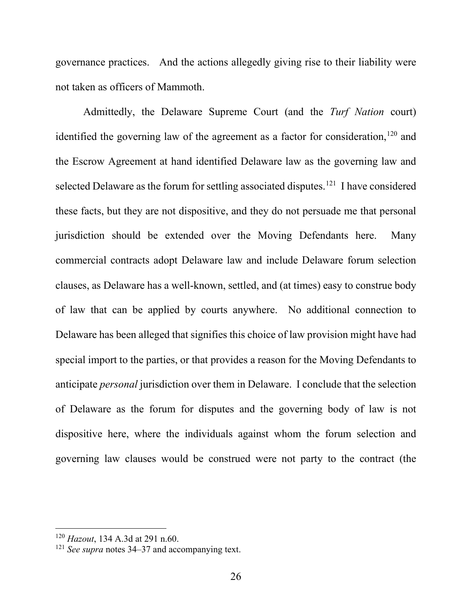governance practices. And the actions allegedly giving rise to their liability were not taken as officers of Mammoth.

Admittedly, the Delaware Supreme Court (and the *Turf Nation* court) identified the governing law of the agreement as a factor for consideration,  $120$  and the Escrow Agreement at hand identified Delaware law as the governing law and selected Delaware as the forum for settling associated disputes.<sup>121</sup> I have considered these facts, but they are not dispositive, and they do not persuade me that personal jurisdiction should be extended over the Moving Defendants here. Many commercial contracts adopt Delaware law and include Delaware forum selection clauses, as Delaware has a well-known, settled, and (at times) easy to construe body of law that can be applied by courts anywhere. No additional connection to Delaware has been alleged that signifies this choice of law provision might have had special import to the parties, or that provides a reason for the Moving Defendants to anticipate *personal* jurisdiction over them in Delaware. I conclude that the selection of Delaware as the forum for disputes and the governing body of law is not dispositive here, where the individuals against whom the forum selection and governing law clauses would be construed were not party to the contract (the

<sup>120</sup> *Hazout*, 134 A.3d at 291 n.60.

<sup>121</sup> *See supra* notes 34–37 and accompanying text.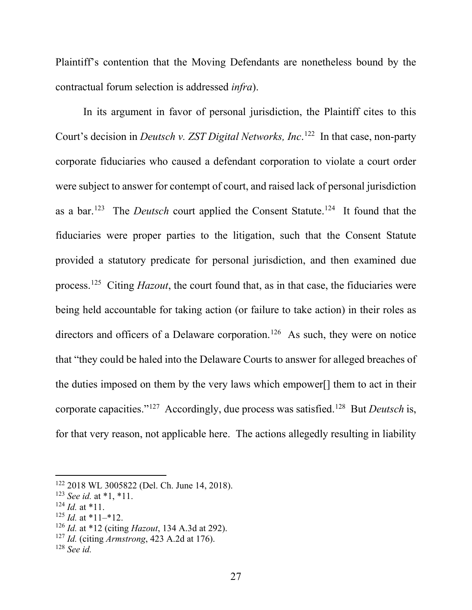Plaintiff's contention that the Moving Defendants are nonetheless bound by the contractual forum selection is addressed *infra*).

In its argument in favor of personal jurisdiction, the Plaintiff cites to this Court's decision in *Deutsch v. ZST Digital Networks, Inc*. 122 In that case, non-party corporate fiduciaries who caused a defendant corporation to violate a court order were subject to answer for contempt of court, and raised lack of personal jurisdiction as a bar.123 The *Deutsch* court applied the Consent Statute.124 It found that the fiduciaries were proper parties to the litigation, such that the Consent Statute provided a statutory predicate for personal jurisdiction, and then examined due process.125 Citing *Hazout*, the court found that, as in that case, the fiduciaries were being held accountable for taking action (or failure to take action) in their roles as directors and officers of a Delaware corporation.<sup>126</sup> As such, they were on notice that "they could be haled into the Delaware Courts to answer for alleged breaches of the duties imposed on them by the very laws which empower[] them to act in their corporate capacities."127 Accordingly, due process was satisfied.128 But *Deutsch* is, for that very reason, not applicable here. The actions allegedly resulting in liability

<sup>122</sup> 2018 WL 3005822 (Del. Ch. June 14, 2018).

<sup>123</sup> *See id.* at \*1, \*11.

 $124$  *Id.* at \*11.

 $125$  *Id.* at \*11–\*12.

<sup>126</sup> *Id.* at \*12 (citing *Hazout*, 134 A.3d at 292).

<sup>127</sup> *Id.* (citing *Armstrong*, 423 A.2d at 176).

<sup>128</sup> *See id.*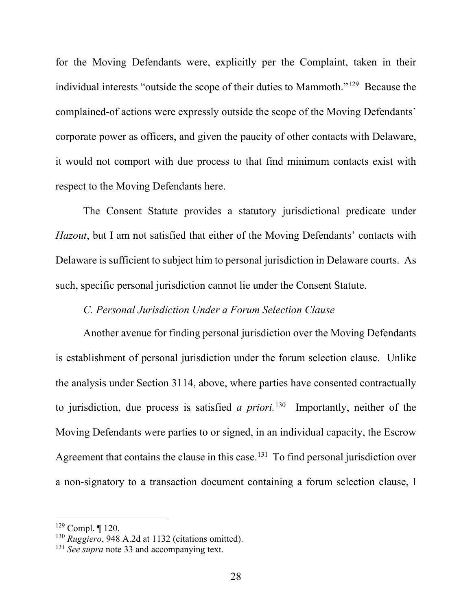for the Moving Defendants were, explicitly per the Complaint, taken in their individual interests "outside the scope of their duties to Mammoth."129 Because the complained-of actions were expressly outside the scope of the Moving Defendants' corporate power as officers, and given the paucity of other contacts with Delaware, it would not comport with due process to that find minimum contacts exist with respect to the Moving Defendants here.

The Consent Statute provides a statutory jurisdictional predicate under *Hazout*, but I am not satisfied that either of the Moving Defendants' contacts with Delaware is sufficient to subject him to personal jurisdiction in Delaware courts. As such, specific personal jurisdiction cannot lie under the Consent Statute.

# *C. Personal Jurisdiction Under a Forum Selection Clause*

Another avenue for finding personal jurisdiction over the Moving Defendants is establishment of personal jurisdiction under the forum selection clause. Unlike the analysis under Section 3114, above, where parties have consented contractually to jurisdiction, due process is satisfied *a priori.*130 Importantly, neither of the Moving Defendants were parties to or signed, in an individual capacity, the Escrow Agreement that contains the clause in this case.<sup>131</sup> To find personal jurisdiction over a non-signatory to a transaction document containing a forum selection clause, I

 $129$  Compl.  $\P$  120.

<sup>130</sup> *Ruggiero*, 948 A.2d at 1132 (citations omitted).

<sup>&</sup>lt;sup>131</sup> *See supra* note 33 and accompanying text.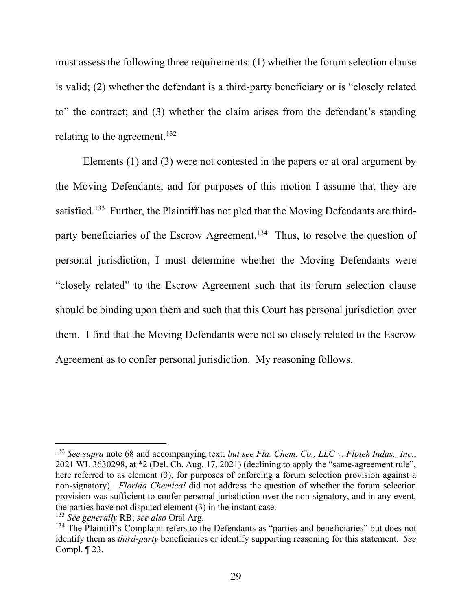must assess the following three requirements: (1) whether the forum selection clause is valid; (2) whether the defendant is a third-party beneficiary or is "closely related to" the contract; and (3) whether the claim arises from the defendant's standing relating to the agreement.<sup>132</sup>

Elements (1) and (3) were not contested in the papers or at oral argument by the Moving Defendants, and for purposes of this motion I assume that they are satisfied.<sup>133</sup> Further, the Plaintiff has not pled that the Moving Defendants are thirdparty beneficiaries of the Escrow Agreement.<sup>134</sup> Thus, to resolve the question of personal jurisdiction, I must determine whether the Moving Defendants were "closely related" to the Escrow Agreement such that its forum selection clause should be binding upon them and such that this Court has personal jurisdiction over them. I find that the Moving Defendants were not so closely related to the Escrow Agreement as to confer personal jurisdiction. My reasoning follows.

<sup>132</sup> *See supra* note 68 and accompanying text; *but see Fla. Chem. Co., LLC v. Flotek Indus., Inc.*, 2021 WL 3630298, at \*2 (Del. Ch. Aug. 17, 2021) (declining to apply the "same-agreement rule", here referred to as element (3), for purposes of enforcing a forum selection provision against a non-signatory). *Florida Chemical* did not address the question of whether the forum selection provision was sufficient to confer personal jurisdiction over the non-signatory, and in any event, the parties have not disputed element (3) in the instant case.

<sup>133</sup> *See generally* RB; *see also* Oral Arg.

<sup>&</sup>lt;sup>134</sup> The Plaintiff's Complaint refers to the Defendants as "parties and beneficiaries" but does not identify them as *third-party* beneficiaries or identify supporting reasoning for this statement. *See*  Compl. ¶ 23.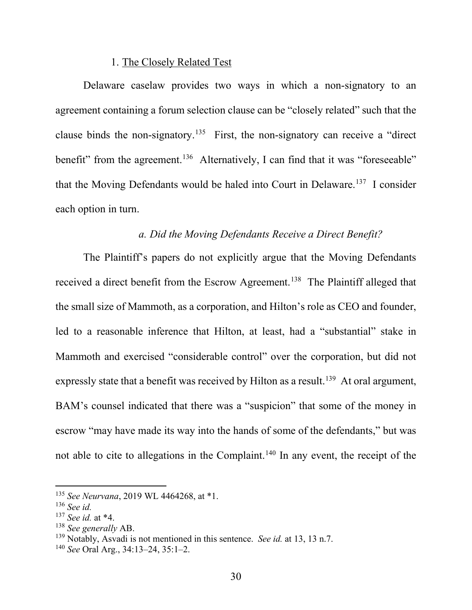### 1. The Closely Related Test

Delaware caselaw provides two ways in which a non-signatory to an agreement containing a forum selection clause can be "closely related" such that the clause binds the non-signatory.<sup>135</sup> First, the non-signatory can receive a "direct benefit" from the agreement.<sup>136</sup> Alternatively, I can find that it was "foreseeable" that the Moving Defendants would be haled into Court in Delaware.<sup>137</sup> I consider each option in turn.

# *a. Did the Moving Defendants Receive a Direct Benefit?*

The Plaintiff's papers do not explicitly argue that the Moving Defendants received a direct benefit from the Escrow Agreement.<sup>138</sup> The Plaintiff alleged that the small size of Mammoth, as a corporation, and Hilton's role as CEO and founder, led to a reasonable inference that Hilton, at least, had a "substantial" stake in Mammoth and exercised "considerable control" over the corporation, but did not expressly state that a benefit was received by Hilton as a result.<sup>139</sup> At oral argument, BAM's counsel indicated that there was a "suspicion" that some of the money in escrow "may have made its way into the hands of some of the defendants," but was not able to cite to allegations in the Complaint.<sup>140</sup> In any event, the receipt of the

<sup>135</sup> *See Neurvana*, 2019 WL 4464268, at \*1.

<sup>136</sup> *See id.* 

<sup>137</sup> *See id.* at \*4.

<sup>138</sup> *See generally* AB.

<sup>139</sup> Notably, Asvadi is not mentioned in this sentence. *See id.* at 13, 13 n.7.

<sup>140</sup> *See* Oral Arg., 34:13–24, 35:1–2.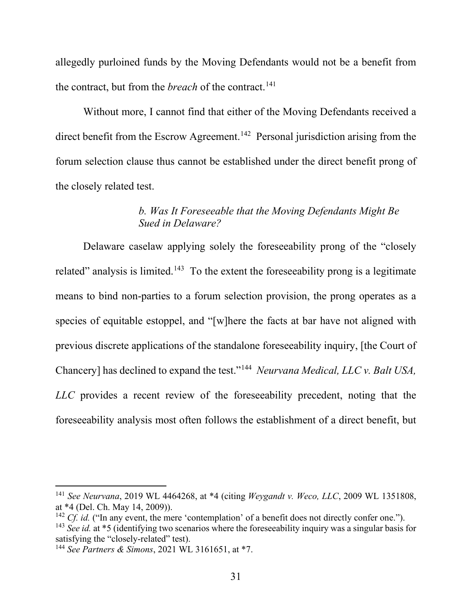allegedly purloined funds by the Moving Defendants would not be a benefit from the contract, but from the *breach* of the contract.<sup>141</sup>

Without more, I cannot find that either of the Moving Defendants received a direct benefit from the Escrow Agreement.<sup>142</sup> Personal jurisdiction arising from the forum selection clause thus cannot be established under the direct benefit prong of the closely related test.

# *b. Was It Foreseeable that the Moving Defendants Might Be Sued in Delaware?*

Delaware caselaw applying solely the foreseeability prong of the "closely related" analysis is limited.<sup>143</sup> To the extent the foreseeability prong is a legitimate means to bind non-parties to a forum selection provision, the prong operates as a species of equitable estoppel, and "[w]here the facts at bar have not aligned with previous discrete applications of the standalone foreseeability inquiry, [the Court of Chancery] has declined to expand the test."144 *Neurvana Medical, LLC v. Balt USA, LLC* provides a recent review of the foreseeability precedent, noting that the foreseeability analysis most often follows the establishment of a direct benefit, but

<sup>141</sup> *See Neurvana*, 2019 WL 4464268, at \*4 (citing *Weygandt v. Weco, LLC*, 2009 WL 1351808, at \*4 (Del. Ch. May 14, 2009)).

<sup>&</sup>lt;sup>142</sup> *Cf. id.* ("In any event, the mere 'contemplation' of a benefit does not directly confer one.").

<sup>&</sup>lt;sup>143</sup> *See id.* at \*5 (identifying two scenarios where the foreseeability inquiry was a singular basis for satisfying the "closely-related" test).

<sup>144</sup> *See Partners & Simons*, 2021 WL 3161651, at \*7.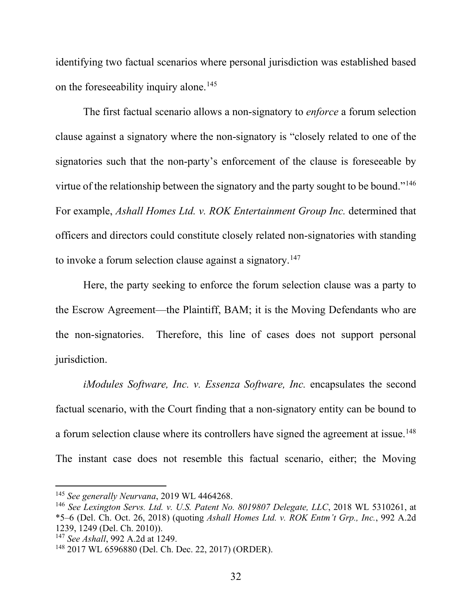identifying two factual scenarios where personal jurisdiction was established based on the foreseeability inquiry alone.<sup>145</sup>

The first factual scenario allows a non-signatory to *enforce* a forum selection clause against a signatory where the non-signatory is "closely related to one of the signatories such that the non-party's enforcement of the clause is foreseeable by virtue of the relationship between the signatory and the party sought to be bound."146 For example, *Ashall Homes Ltd. v. ROK Entertainment Group Inc.* determined that officers and directors could constitute closely related non-signatories with standing to invoke a forum selection clause against a signatory.<sup>147</sup>

Here, the party seeking to enforce the forum selection clause was a party to the Escrow Agreement—the Plaintiff, BAM; it is the Moving Defendants who are the non-signatories. Therefore, this line of cases does not support personal jurisdiction.

*iModules Software, Inc. v. Essenza Software, Inc.* encapsulates the second factual scenario, with the Court finding that a non-signatory entity can be bound to a forum selection clause where its controllers have signed the agreement at issue.<sup>148</sup> The instant case does not resemble this factual scenario, either; the Moving

<sup>&</sup>lt;sup>145</sup> See generally Neurvana, 2019 WL 4464268.<br><sup>146</sup> See Lexington Servs. *Ltd. v. U.S. Patent No. 8019807 Delegate, LLC*, 2018 WL 5310261, at \*5–6 (Del. Ch. Oct. 26, 2018) (quoting *Ashall Homes Ltd. v. ROK Entm't Grp., Inc.*, 992 A.2d 1239, 1249 (Del. Ch. 2010)).

<sup>147</sup> *See Ashall*, 992 A.2d at 1249.

<sup>148</sup> 2017 WL 6596880 (Del. Ch. Dec. 22, 2017) (ORDER).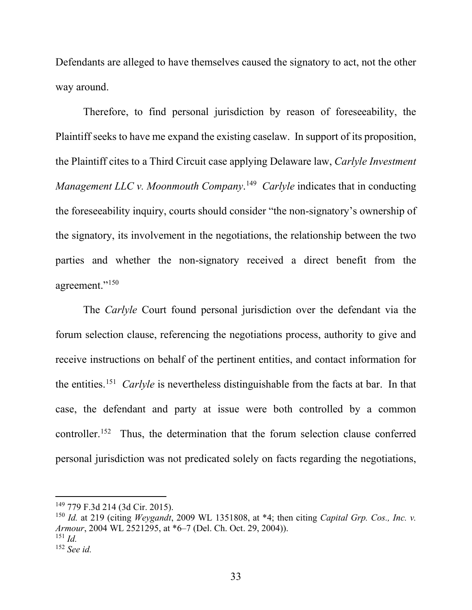Defendants are alleged to have themselves caused the signatory to act, not the other way around.

Therefore, to find personal jurisdiction by reason of foreseeability, the Plaintiff seeks to have me expand the existing caselaw. In support of its proposition, the Plaintiff cites to a Third Circuit case applying Delaware law, *Carlyle Investment Management LLC v. Moonmouth Company*.<sup>149</sup> *Carlyle* indicates that in conducting the foreseeability inquiry, courts should consider "the non-signatory's ownership of the signatory, its involvement in the negotiations, the relationship between the two parties and whether the non-signatory received a direct benefit from the agreement."<sup>150</sup>

The *Carlyle* Court found personal jurisdiction over the defendant via the forum selection clause, referencing the negotiations process, authority to give and receive instructions on behalf of the pertinent entities, and contact information for the entities.151 *Carlyle* is nevertheless distinguishable from the facts at bar. In that case, the defendant and party at issue were both controlled by a common controller.152 Thus, the determination that the forum selection clause conferred personal jurisdiction was not predicated solely on facts regarding the negotiations,

<sup>149</sup> 779 F.3d 214 (3d Cir. 2015).

<sup>150</sup> *Id.* at 219 (citing *Weygandt*, 2009 WL 1351808, at \*4; then citing *Capital Grp. Cos., Inc. v. Armour*, 2004 WL 2521295, at \*6–7 (Del. Ch. Oct. 29, 2004)). <sup>151</sup> *Id.* 

<sup>152</sup> *See id.*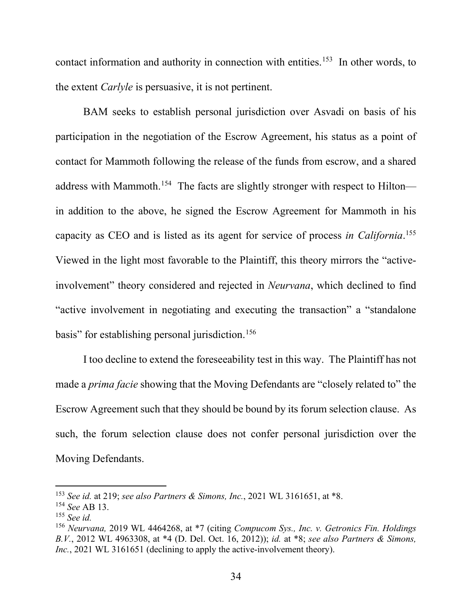contact information and authority in connection with entities.<sup>153</sup> In other words, to the extent *Carlyle* is persuasive, it is not pertinent.

BAM seeks to establish personal jurisdiction over Asvadi on basis of his participation in the negotiation of the Escrow Agreement, his status as a point of contact for Mammoth following the release of the funds from escrow, and a shared address with Mammoth.<sup>154</sup> The facts are slightly stronger with respect to Hilton in addition to the above, he signed the Escrow Agreement for Mammoth in his capacity as CEO and is listed as its agent for service of process *in California*. 155 Viewed in the light most favorable to the Plaintiff, this theory mirrors the "activeinvolvement" theory considered and rejected in *Neurvana*, which declined to find "active involvement in negotiating and executing the transaction" a "standalone basis" for establishing personal jurisdiction.<sup>156</sup>

I too decline to extend the foreseeability test in this way. The Plaintiff has not made a *prima facie* showing that the Moving Defendants are "closely related to" the Escrow Agreement such that they should be bound by its forum selection clause. As such, the forum selection clause does not confer personal jurisdiction over the Moving Defendants.

<sup>153</sup> *See id.* at 219; *see also Partners & Simons, Inc.*, 2021 WL 3161651, at \*8.

<sup>154</sup> *See* AB 13.

<sup>155</sup> *See id.* 

<sup>156</sup> *Neurvana,* 2019 WL 4464268, at \*7 (citing *Compucom Sys., Inc. v. Getronics Fin. Holdings B.V.*, 2012 WL 4963308, at \*4 (D. Del. Oct. 16, 2012)); *id.* at \*8; *see also Partners & Simons, Inc.*, 2021 WL 3161651 (declining to apply the active-involvement theory).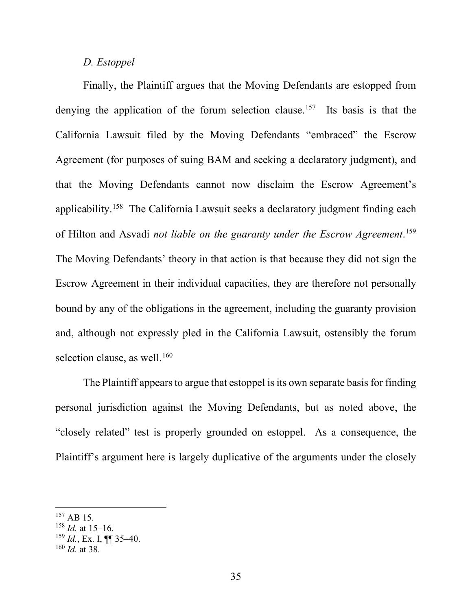### *D. Estoppel*

Finally, the Plaintiff argues that the Moving Defendants are estopped from denying the application of the forum selection clause.<sup>157</sup> Its basis is that the California Lawsuit filed by the Moving Defendants "embraced" the Escrow Agreement (for purposes of suing BAM and seeking a declaratory judgment), and that the Moving Defendants cannot now disclaim the Escrow Agreement's applicability.158 The California Lawsuit seeks a declaratory judgment finding each of Hilton and Asvadi *not liable on the guaranty under the Escrow Agreement*. 159 The Moving Defendants' theory in that action is that because they did not sign the Escrow Agreement in their individual capacities, they are therefore not personally bound by any of the obligations in the agreement, including the guaranty provision and, although not expressly pled in the California Lawsuit, ostensibly the forum selection clause, as well.<sup>160</sup>

The Plaintiff appears to argue that estoppel is its own separate basis for finding personal jurisdiction against the Moving Defendants, but as noted above, the "closely related" test is properly grounded on estoppel. As a consequence, the Plaintiff's argument here is largely duplicative of the arguments under the closely

<sup>&</sup>lt;sup>157</sup> AB 15.

<sup>158</sup> *Id.* at 15–16.

 $^{159}$  *Id.*, Ex. I, **¶** 35–40.

<sup>160</sup> *Id.* at 38.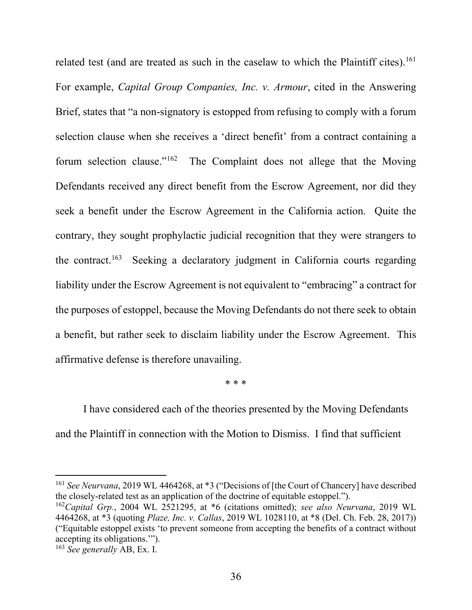related test (and are treated as such in the caselaw to which the Plaintiff cites).<sup>161</sup> For example, *Capital Group Companies, Inc. v. Armour*, cited in the Answering Brief, states that "a non-signatory is estopped from refusing to comply with a forum selection clause when she receives a 'direct benefit' from a contract containing a forum selection clause."162 The Complaint does not allege that the Moving Defendants received any direct benefit from the Escrow Agreement, nor did they seek a benefit under the Escrow Agreement in the California action. Quite the contrary, they sought prophylactic judicial recognition that they were strangers to the contract.<sup>163</sup> Seeking a declaratory judgment in California courts regarding liability under the Escrow Agreement is not equivalent to "embracing" a contract for the purposes of estoppel, because the Moving Defendants do not there seek to obtain a benefit, but rather seek to disclaim liability under the Escrow Agreement. This affirmative defense is therefore unavailing.

\* \* \*

I have considered each of the theories presented by the Moving Defendants and the Plaintiff in connection with the Motion to Dismiss. I find that sufficient

<sup>&</sup>lt;sup>161</sup> See Neurvana, 2019 WL 4464268, at \*3 ("Decisions of [the Court of Chancery] have described the closely-related test as an application of the doctrine of equitable estoppel.").

<sup>162</sup>*Capital Grp.*, 2004 WL 2521295, at \*6 (citations omitted); *see also Neurvana*, 2019 WL 4464268, at \*3 (quoting *Plaze, Inc. v. Callas*, 2019 WL 1028110, at \*8 (Del. Ch. Feb. 28, 2017)) ("Equitable estoppel exists 'to prevent someone from accepting the benefits of a contract without accepting its obligations.'").

<sup>163</sup> *See generally* AB, Ex. I.